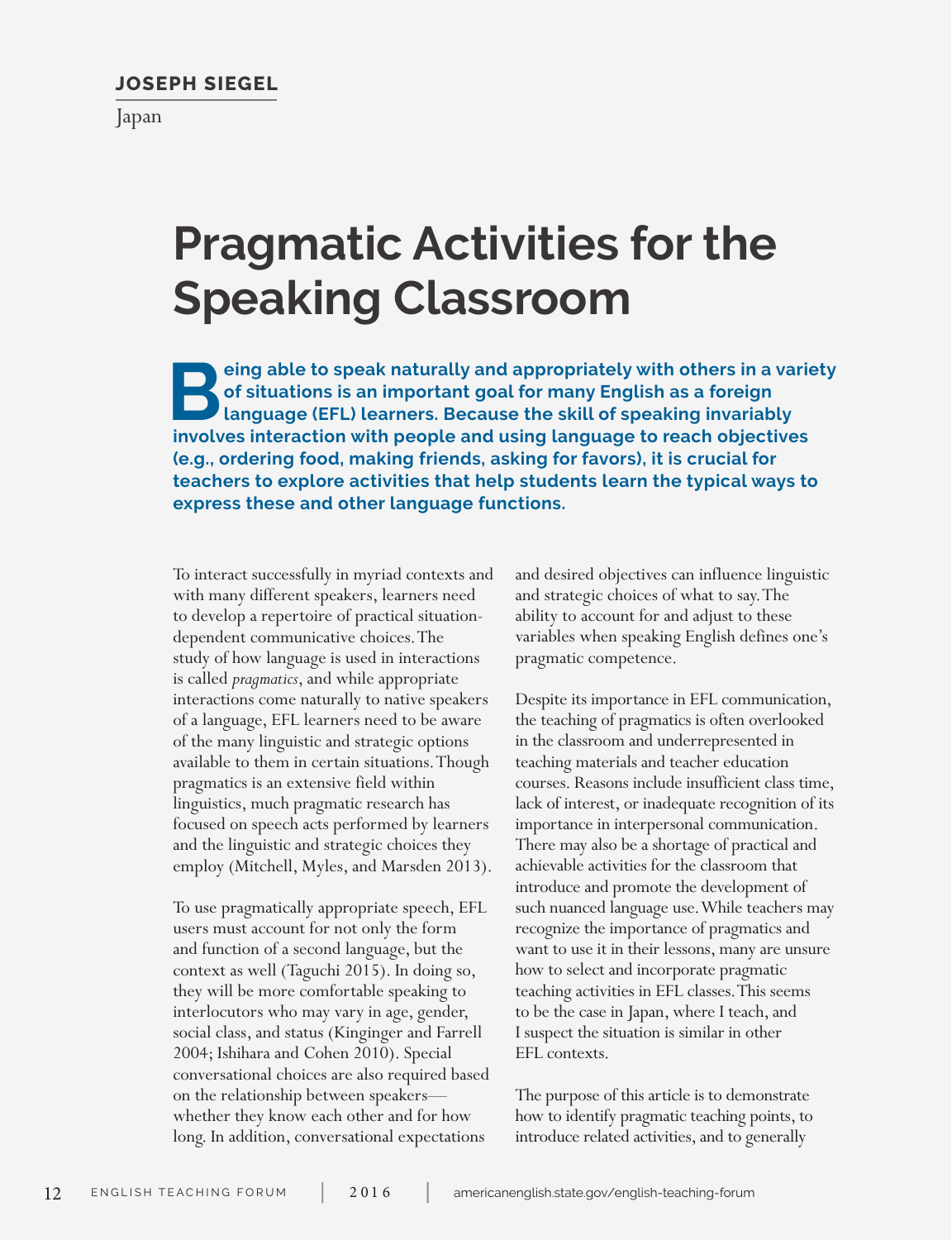# **JOSEPH SIEGEL**

Japan

# **Pragmatic Activities for the Speaking Classroom**

**Being able to speak naturally and appropriately with others in a variety of situations is an important goal for many English as a foreign language (EFL) learners. Because the skill of speaking invariably involved interact of situations is an important goal for many English as a foreign language (EFL) learners. Because the skill of speaking invariably involves interaction with people and using language to reach objectives (e.g., ordering food, making friends, asking for favors), it is crucial for teachers to explore activities that help students learn the typical ways to express these and other language functions.** 

To interact successfully in myriad contexts and with many different speakers, learners need to develop a repertoire of practical situationdependent communicative choices. The study of how language is used in interactions is called *pragmatics*, and while appropriate interactions come naturally to native speakers of a language, EFL learners need to be aware of the many linguistic and strategic options available to them in certain situations. Though pragmatics is an extensive field within linguistics, much pragmatic research has focused on speech acts performed by learners and the linguistic and strategic choices they employ (Mitchell, Myles, and Marsden 2013).

To use pragmatically appropriate speech, EFL users must account for not only the form and function of a second language, but the context as well (Taguchi 2015). In doing so, they will be more comfortable speaking to interlocutors who may vary in age, gender, social class, and status (Kinginger and Farrell 2004; Ishihara and Cohen 2010). Special conversational choices are also required based on the relationship between speakers whether they know each other and for how long. In addition, conversational expectations

and desired objectives can influence linguistic and strategic choices of what to say. The ability to account for and adjust to these variables when speaking English defines one's pragmatic competence.

Despite its importance in EFL communication, the teaching of pragmatics is often overlooked in the classroom and underrepresented in teaching materials and teacher education courses. Reasons include insufficient class time, lack of interest, or inadequate recognition of its importance in interpersonal communication. There may also be a shortage of practical and achievable activities for the classroom that introduce and promote the development of such nuanced language use. While teachers may recognize the importance of pragmatics and want to use it in their lessons, many are unsure how to select and incorporate pragmatic teaching activities in EFL classes. This seems to be the case in Japan, where I teach, and I suspect the situation is similar in other EFL contexts.

The purpose of this article is to demonstrate how to identify pragmatic teaching points, to introduce related activities, and to generally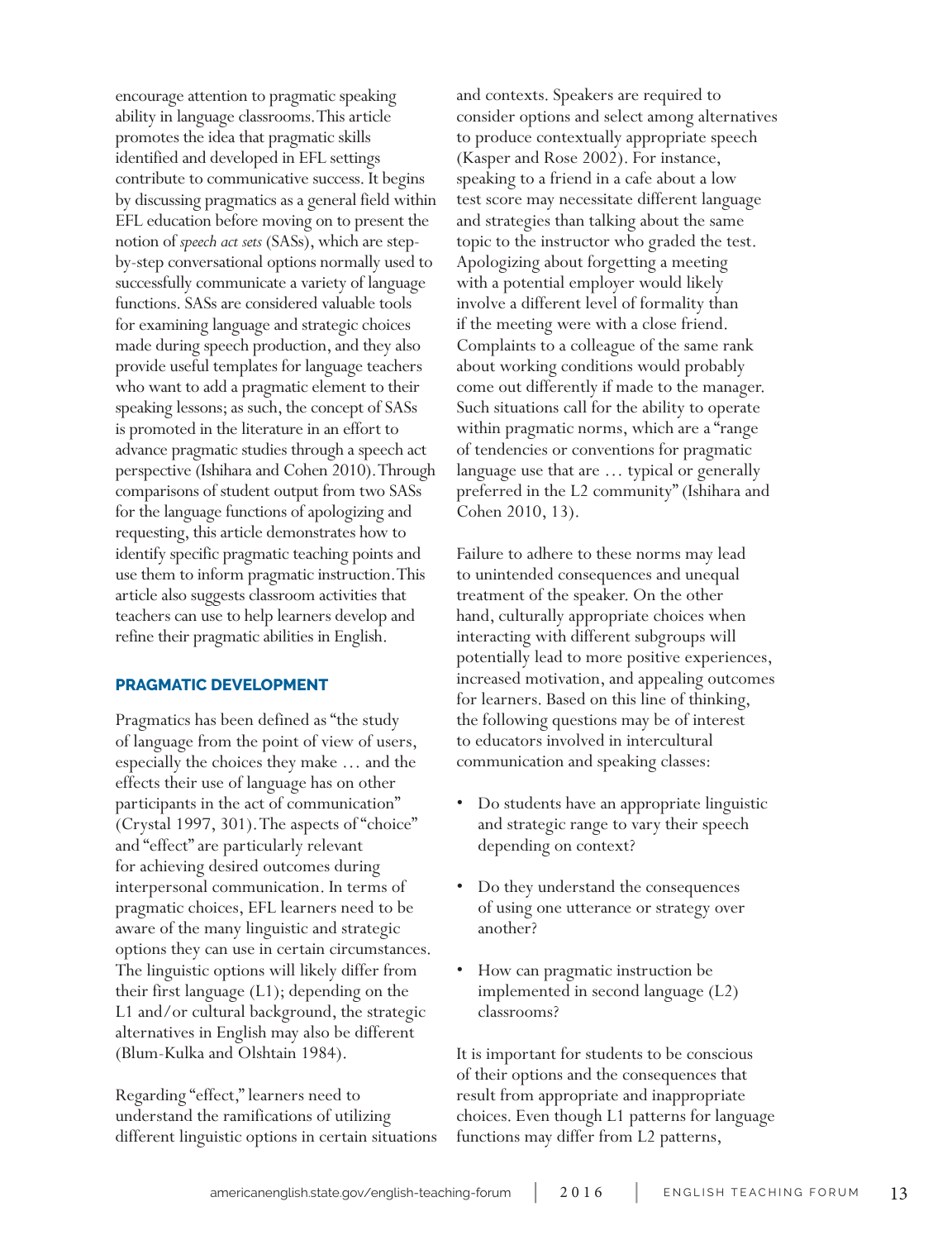encourage attention to pragmatic speaking ability in language classrooms. This article promotes the idea that pragmatic skills identified and developed in EFL settings contribute to communicative success. It begins by discussing pragmatics as a general field within EFL education before moving on to present the notion of *speech act sets* (SASs), which are stepby-step conversational options normally used to successfully communicate a variety of language functions. SASs are considered valuable tools for examining language and strategic choices made during speech production, and they also provide useful templates for language teachers who want to add a pragmatic element to their speaking lessons; as such, the concept of SASs is promoted in the literature in an effort to advance pragmatic studies through a speech act perspective (Ishihara and Cohen 2010). Through comparisons of student output from two SASs for the language functions of apologizing and requesting, this article demonstrates how to identify specific pragmatic teaching points and use them to inform pragmatic instruction. This article also suggests classroom activities that teachers can use to help learners develop and refine their pragmatic abilities in English.

# **PRAGMATIC DEVELOPMENT**

Pragmatics has been defined as "the study of language from the point of view of users, especially the choices they make … and the effects their use of language has on other participants in the act of communication" (Crystal 1997, 301). The aspects of "choice" and "effect" are particularly relevant for achieving desired outcomes during interpersonal communication. In terms of pragmatic choices, EFL learners need to be aware of the many linguistic and strategic options they can use in certain circumstances. The linguistic options will likely differ from their first language (L1); depending on the L1 and/or cultural background, the strategic alternatives in English may also be different (Blum-Kulka and Olshtain 1984).

Regarding "effect," learners need to understand the ramifications of utilizing different linguistic options in certain situations and contexts. Speakers are required to consider options and select among alternatives to produce contextually appropriate speech (Kasper and Rose 2002). For instance, speaking to a friend in a cafe about a low test score may necessitate different language and strategies than talking about the same topic to the instructor who graded the test. Apologizing about forgetting a meeting with a potential employer would likely involve a different level of formality than if the meeting were with a close friend. Complaints to a colleague of the same rank about working conditions would probably come out differently if made to the manager. Such situations call for the ability to operate within pragmatic norms, which are a "range of tendencies or conventions for pragmatic language use that are … typical or generally preferred in the L2 community" (Ishihara and Cohen 2010, 13).

Failure to adhere to these norms may lead to unintended consequences and unequal treatment of the speaker. On the other hand, culturally appropriate choices when interacting with different subgroups will potentially lead to more positive experiences, increased motivation, and appealing outcomes for learners. Based on this line of thinking, the following questions may be of interest to educators involved in intercultural communication and speaking classes:

- Do students have an appropriate linguistic and strategic range to vary their speech depending on context?
- Do they understand the consequences of using one utterance or strategy over another?
- How can pragmatic instruction be implemented in second language (L2) classrooms?

It is important for students to be conscious of their options and the consequences that result from appropriate and inappropriate choices. Even though L1 patterns for language functions may differ from L2 patterns,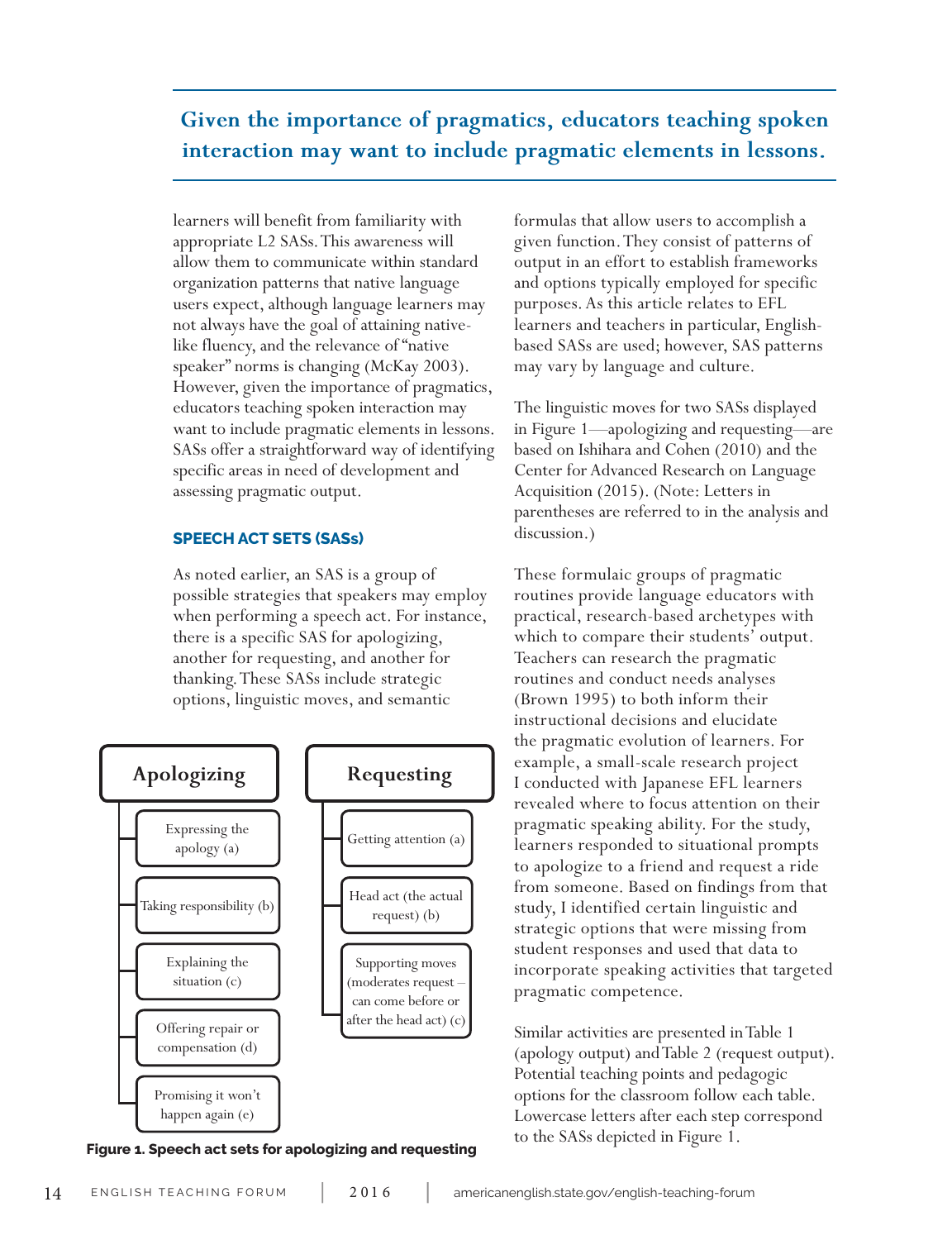**Given the importance of pragmatics, educators teaching spoken interaction may want to include pragmatic elements in lessons.**

learners will benefit from familiarity with appropriate L2 SASs. This awareness will allow them to communicate within standard organization patterns that native language users expect, although language learners may not always have the goal of attaining nativelike fluency, and the relevance of "native speaker" norms is changing (McKay 2003). However, given the importance of pragmatics, educators teaching spoken interaction may want to include pragmatic elements in lessons. SASs offer a straightforward way of identifying specific areas in need of development and assessing pragmatic output.

# **SPEECH ACT SETS (SASs)**

As noted earlier, an SAS is a group of possible strategies that speakers may employ when performing a speech act. For instance, there is a specific SAS for apologizing, another for requesting, and another for thanking. These SASs include strategic options, linguistic moves, and semantic



**Figure 1. Speech act sets for apologizing and requesting**

formulas that allow users to accomplish a given function. They consist of patterns of output in an effort to establish frameworks and options typically employed for specific purposes. As this article relates to EFL learners and teachers in particular, Englishbased SASs are used; however, SAS patterns may vary by language and culture.

The linguistic moves for two SASs displayed in Figure 1—apologizing and requesting—are based on Ishihara and Cohen (2010) and the Center for Advanced Research on Language Acquisition (2015). (Note: Letters in parentheses are referred to in the analysis and discussion.)

These formulaic groups of pragmatic routines provide language educators with practical, research-based archetypes with which to compare their students' output. Teachers can research the pragmatic routines and conduct needs analyses (Brown 1995) to both inform their instructional decisions and elucidate the pragmatic evolution of learners. For example, a small-scale research project I conducted with Japanese EFL learners revealed where to focus attention on their pragmatic speaking ability. For the study, learners responded to situational prompts to apologize to a friend and request a ride from someone. Based on findings from that study, I identified certain linguistic and strategic options that were missing from student responses and used that data to incorporate speaking activities that targeted pragmatic competence.

Similar activities are presented in Table 1 (apology output) and Table 2 (request output). Potential teaching points and pedagogic options for the classroom follow each table. Lowercase letters after each step correspond to the SASs depicted in Figure 1.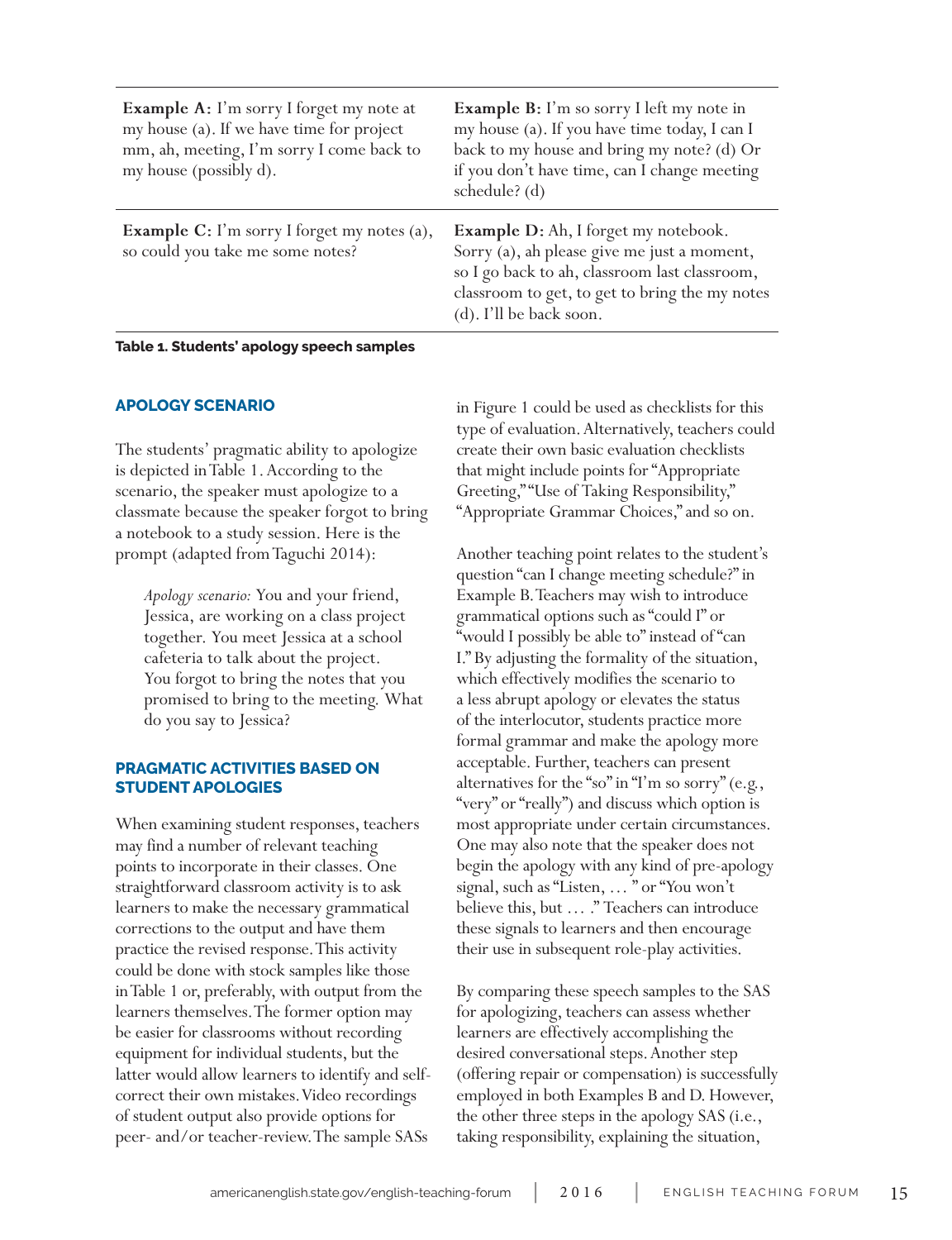| <b>Example A:</b> I'm sorry I forget my note at<br>my house (a). If we have time for project<br>mm, ah, meeting, I'm sorry I come back to<br>my house (possibly d). | <b>Example B:</b> I'm so sorry I left my note in<br>my house (a). If you have time today, I can I<br>back to my house and bring my note? (d) Or<br>if you don't have time, can I change meeting<br>schedule? (d)         |
|---------------------------------------------------------------------------------------------------------------------------------------------------------------------|--------------------------------------------------------------------------------------------------------------------------------------------------------------------------------------------------------------------------|
| <b>Example C:</b> I'm sorry I forget my notes (a),<br>so could you take me some notes?                                                                              | <b>Example D:</b> Ah, I forget my notebook.<br>Sorry (a), ah please give me just a moment,<br>so I go back to ah, classroom last classroom,<br>classroom to get, to get to bring the my notes<br>(d). I'll be back soon. |

**Table 1. Students' apology speech samples**

### **APOLOGY SCENARIO**

The students' pragmatic ability to apologize is depicted in Table 1. According to the scenario, the speaker must apologize to a classmate because the speaker forgot to bring a notebook to a study session. Here is the prompt (adapted from Taguchi 2014):

*Apology scenario:* You and your friend, Jessica, are working on a class project together. You meet Jessica at a school cafeteria to talk about the project. You forgot to bring the notes that you promised to bring to the meeting. What do you say to Jessica?

# **PRAGMATIC ACTIVITIES BASED ON STUDENT APOLOGIES**

When examining student responses, teachers may find a number of relevant teaching points to incorporate in their classes. One straightforward classroom activity is to ask learners to make the necessary grammatical corrections to the output and have them practice the revised response. This activity could be done with stock samples like those in Table 1 or, preferably, with output from the learners themselves. The former option may be easier for classrooms without recording equipment for individual students, but the latter would allow learners to identify and selfcorrect their own mistakes. Video recordings of student output also provide options for peer- and/or teacher-review. The sample SASs

in Figure 1 could be used as checklists for this type of evaluation. Alternatively, teachers could create their own basic evaluation checklists that might include points for "Appropriate Greeting," "Use of Taking Responsibility," "Appropriate Grammar Choices," and so on.

Another teaching point relates to the student's question "can I change meeting schedule?" in Example B. Teachers may wish to introduce grammatical options such as "could I" or "would I possibly be able to" instead of "can I." By adjusting the formality of the situation, which effectively modifies the scenario to a less abrupt apology or elevates the status of the interlocutor, students practice more formal grammar and make the apology more acceptable. Further, teachers can present alternatives for the "so" in "I'm so sorry" (e.g., "very" or "really") and discuss which option is most appropriate under certain circumstances. One may also note that the speaker does not begin the apology with any kind of pre-apology signal, such as "Listen, … " or "You won't believe this, but … ." Teachers can introduce these signals to learners and then encourage their use in subsequent role-play activities.

By comparing these speech samples to the SAS for apologizing, teachers can assess whether learners are effectively accomplishing the desired conversational steps. Another step (offering repair or compensation) is successfully employed in both Examples B and D. However, the other three steps in the apology SAS (i.e., taking responsibility, explaining the situation,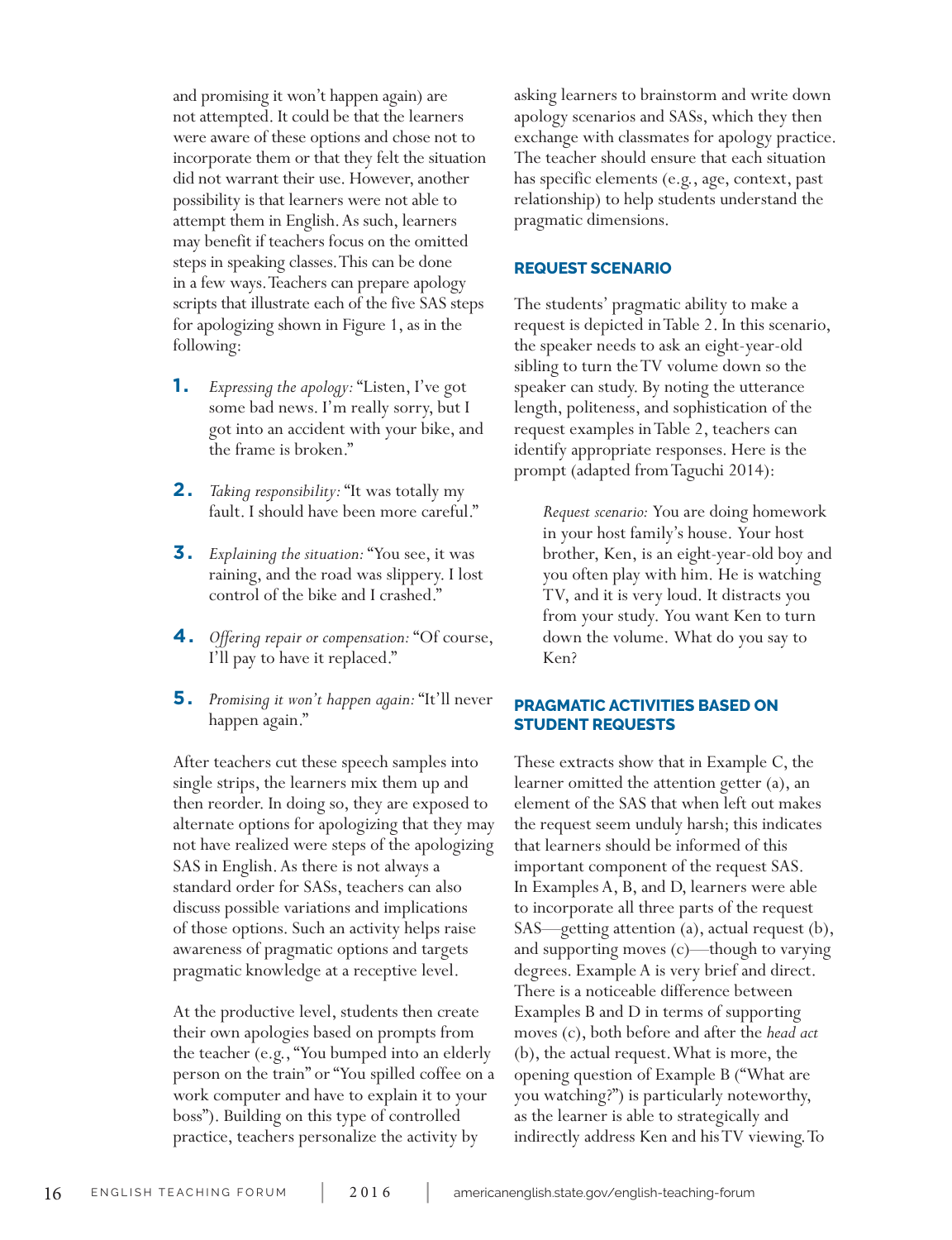and promising it won't happen again) are not attempted. It could be that the learners were aware of these options and chose not to incorporate them or that they felt the situation did not warrant their use. However, another possibility is that learners were not able to attempt them in English. As such, learners may benefit if teachers focus on the omitted steps in speaking classes. This can be done in a few ways. Teachers can prepare apology scripts that illustrate each of the five SAS steps for apologizing shown in Figure 1, as in the following:

- **1.**  *Expressing the apology:* "Listen, I've got some bad news. I'm really sorry, but I got into an accident with your bike, and the frame is broken."
- **2.**  *Taking responsibility:* "It was totally my fault. I should have been more careful."
- **3.**  *Explaining the situation:* "You see, it was raining, and the road was slippery. I lost control of the bike and I crashed."
- **4.**  *Offering repair or compensation:* "Of course, I'll pay to have it replaced."
- **5.**  *Promising it won't happen again:* "It'll never happen again."

After teachers cut these speech samples into single strips, the learners mix them up and then reorder. In doing so, they are exposed to alternate options for apologizing that they may not have realized were steps of the apologizing SAS in English. As there is not always a standard order for SASs, teachers can also discuss possible variations and implications of those options. Such an activity helps raise awareness of pragmatic options and targets pragmatic knowledge at a receptive level.

At the productive level, students then create their own apologies based on prompts from the teacher (e.g., "You bumped into an elderly person on the train" or "You spilled coffee on a work computer and have to explain it to your boss"). Building on this type of controlled practice, teachers personalize the activity by

asking learners to brainstorm and write down apology scenarios and SASs, which they then exchange with classmates for apology practice. The teacher should ensure that each situation has specific elements (e.g., age, context, past relationship) to help students understand the pragmatic dimensions.

#### **REQUEST SCENARIO**

The students' pragmatic ability to make a request is depicted in Table 2. In this scenario, the speaker needs to ask an eight-year-old sibling to turn the TV volume down so the speaker can study. By noting the utterance length, politeness, and sophistication of the request examples in Table 2, teachers can identify appropriate responses. Here is the prompt (adapted from Taguchi 2014):

*Request scenario:* You are doing homework in your host family's house. Your host brother, Ken, is an eight-year-old boy and you often play with him. He is watching TV, and it is very loud. It distracts you from your study. You want Ken to turn down the volume. What do you say to Ken?

# **PRAGMATIC ACTIVITIES BASED ON STUDENT REQUESTS**

These extracts show that in Example C, the learner omitted the attention getter (a), an element of the SAS that when left out makes the request seem unduly harsh; this indicates that learners should be informed of this important component of the request SAS. In Examples A, B, and D, learners were able to incorporate all three parts of the request SAS—getting attention (a), actual request (b), and supporting moves (c)—though to varying degrees. Example A is very brief and direct. There is a noticeable difference between Examples B and D in terms of supporting moves (c), both before and after the *head act* (b), the actual request. What is more, the opening question of Example B ("What are you watching?") is particularly noteworthy, as the learner is able to strategically and indirectly address Ken and his TV viewing. To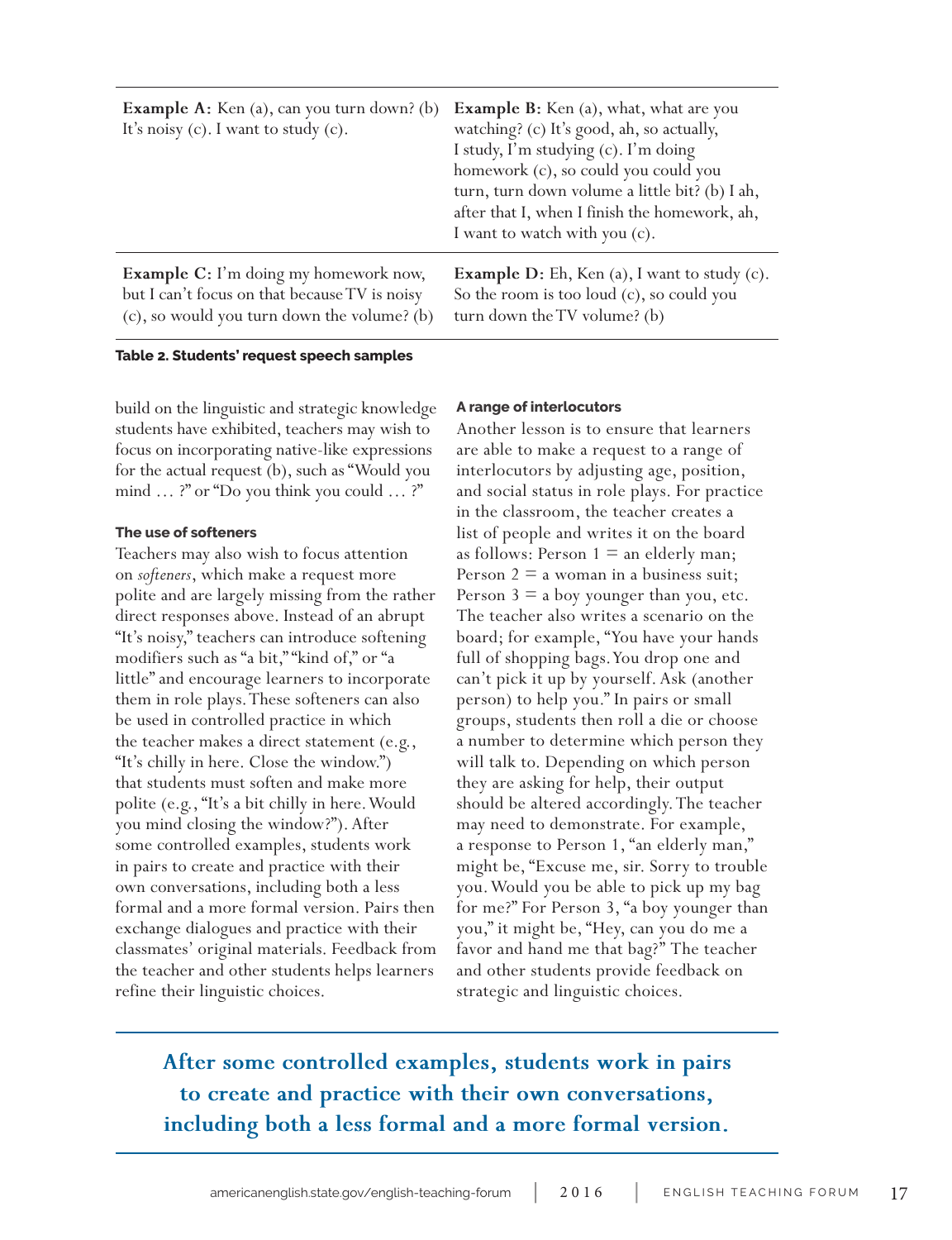| <b>Example A:</b> Ken (a), can you turn down? (b)<br>It's noisy $(c)$ . I want to study $(c)$ . | <b>Example B:</b> Ken (a), what, what are you<br>watching? (c) It's good, ah, so actually,<br>I study, I'm studying (c). I'm doing<br>homework (c), so could you could you<br>turn, turn down volume a little bit? (b) I ah,<br>after that I, when I finish the homework, ah,<br>I want to watch with you (c). |
|-------------------------------------------------------------------------------------------------|----------------------------------------------------------------------------------------------------------------------------------------------------------------------------------------------------------------------------------------------------------------------------------------------------------------|
| <b>Example C:</b> I'm doing my homework now,                                                    | <b>Example D:</b> Eh, Ken (a), I want to study $(c)$ .                                                                                                                                                                                                                                                         |
| but I can't focus on that because TV is noisy                                                   | So the room is too loud (c), so could you                                                                                                                                                                                                                                                                      |
| (c), so would you turn down the volume? (b)                                                     | turn down the TV volume? (b)                                                                                                                                                                                                                                                                                   |

#### **Table 2. Students' request speech samples**

build on the linguistic and strategic knowledge students have exhibited, teachers may wish to focus on incorporating native-like expressions for the actual request (b), such as "Would you mind ... ?" or "Do you think you could ... ?"

#### **The use of softeners**

Teachers may also wish to focus attention on *softeners*, which make a request more polite and are largely missing from the rather direct responses above. Instead of an abrupt "It's noisy," teachers can introduce softening modifiers such as "a bit," "kind of," or "a little" and encourage learners to incorporate them in role plays. These softeners can also be used in controlled practice in which the teacher makes a direct statement (e.g., "It's chilly in here. Close the window.") that students must soften and make more polite (e.g., "It's a bit chilly in here. Would you mind closing the window?"). After some controlled examples, students work in pairs to create and practice with their own conversations, including both a less formal and a more formal version. Pairs then exchange dialogues and practice with their classmates' original materials. Feedback from the teacher and other students helps learners refine their linguistic choices.

#### **A range of interlocutors**

Another lesson is to ensure that learners are able to make a request to a range of interlocutors by adjusting age, position, and social status in role plays. For practice in the classroom, the teacher creates a list of people and writes it on the board as follows: Person  $1 \equiv$  an elderly man; Person  $2 = a$  woman in a business suit; Person  $3 = a$  boy younger than you, etc. The teacher also writes a scenario on the board; for example, "You have your hands full of shopping bags. You drop one and can't pick it up by yourself. Ask (another person) to help you." In pairs or small groups, students then roll a die or choose a number to determine which person they will talk to. Depending on which person they are asking for help, their output should be altered accordingly. The teacher may need to demonstrate. For example, a response to Person 1, "an elderly man," might be, "Excuse me, sir. Sorry to trouble you. Would you be able to pick up my bag for me?" For Person 3, "a boy younger than you," it might be, "Hey, can you do me a favor and hand me that bag?" The teacher and other students provide feedback on strategic and linguistic choices.

# **After some controlled examples, students work in pairs to create and practice with their own conversations, including both a less formal and a more formal version.**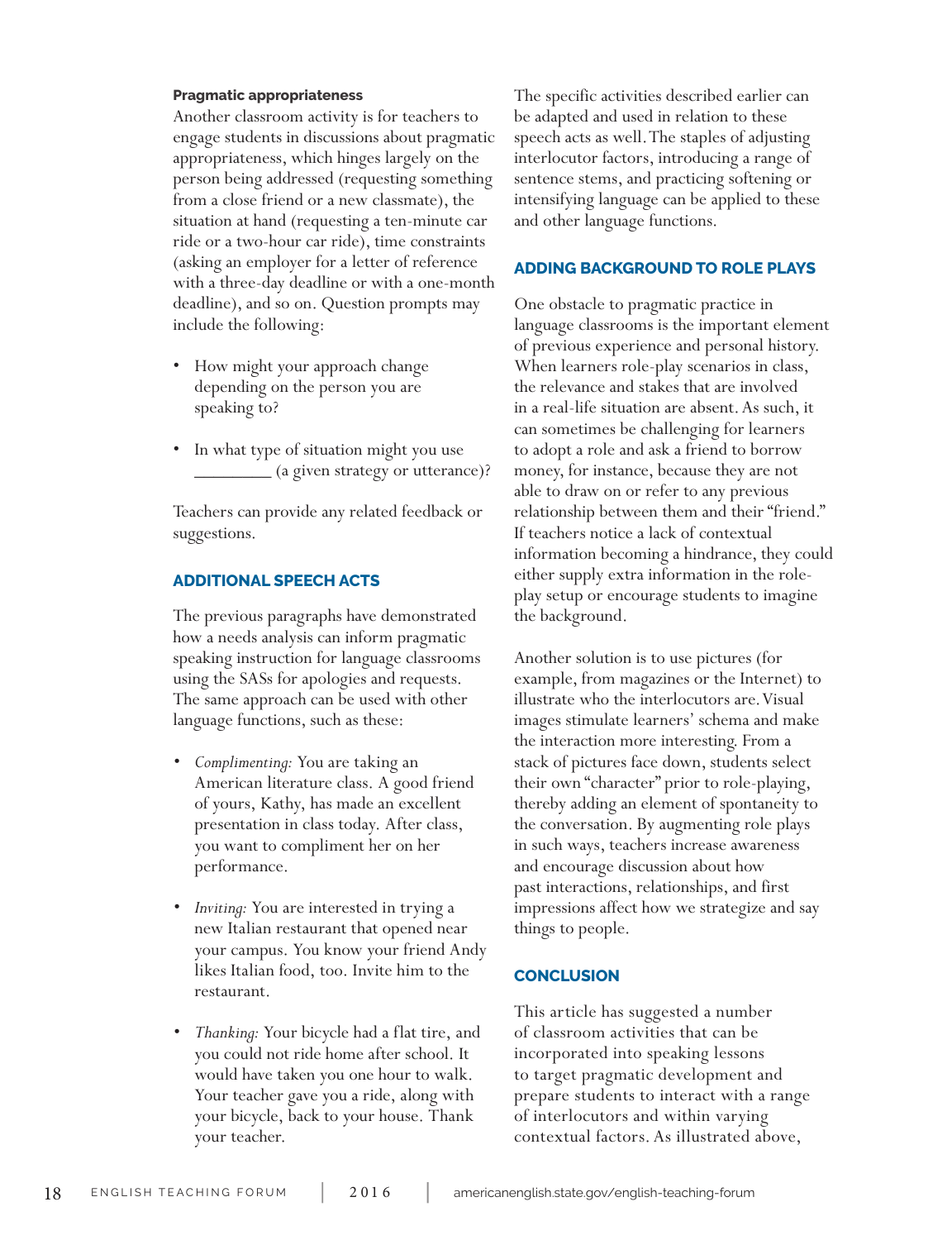#### **Pragmatic appropriateness**

Another classroom activity is for teachers to engage students in discussions about pragmatic appropriateness, which hinges largely on the person being addressed (requesting something from a close friend or a new classmate), the situation at hand (requesting a ten-minute car ride or a two-hour car ride), time constraints (asking an employer for a letter of reference with a three-day deadline or with a one-month deadline), and so on. Question prompts may include the following:

- How might your approach change depending on the person you are speaking to?
- In what type of situation might you use \_\_\_\_\_\_\_\_ (a given strategy or utterance)?

Teachers can provide any related feedback or suggestions.

#### **ADDITIONAL SPEECH ACTS**

The previous paragraphs have demonstrated how a needs analysis can inform pragmatic speaking instruction for language classrooms using the SASs for apologies and requests. The same approach can be used with other language functions, such as these:

- *• Complimenting:* You are taking an American literature class. A good friend of yours, Kathy, has made an excellent presentation in class today. After class, you want to compliment her on her performance.
- *• Inviting:* You are interested in trying a new Italian restaurant that opened near your campus. You know your friend Andy likes Italian food, too. Invite him to the restaurant.
- *• Thanking:* Your bicycle had a flat tire, and you could not ride home after school. It would have taken you one hour to walk. Your teacher gave you a ride, along with your bicycle, back to your house. Thank your teacher.

The specific activities described earlier can be adapted and used in relation to these speech acts as well. The staples of adjusting interlocutor factors, introducing a range of sentence stems, and practicing softening or intensifying language can be applied to these and other language functions.

#### **ADDING BACKGROUND TO ROLE PLAYS**

One obstacle to pragmatic practice in language classrooms is the important element of previous experience and personal history. When learners role-play scenarios in class, the relevance and stakes that are involved in a real-life situation are absent. As such, it can sometimes be challenging for learners to adopt a role and ask a friend to borrow money, for instance, because they are not able to draw on or refer to any previous relationship between them and their "friend." If teachers notice a lack of contextual information becoming a hindrance, they could either supply extra information in the roleplay setup or encourage students to imagine the background.

Another solution is to use pictures (for example, from magazines or the Internet) to illustrate who the interlocutors are. Visual images stimulate learners' schema and make the interaction more interesting. From a stack of pictures face down, students select their own "character" prior to role-playing, thereby adding an element of spontaneity to the conversation. By augmenting role plays in such ways, teachers increase awareness and encourage discussion about how past interactions, relationships, and first impressions affect how we strategize and say things to people.

#### **CONCLUSION**

This article has suggested a number of classroom activities that can be incorporated into speaking lessons to target pragmatic development and prepare students to interact with a range of interlocutors and within varying contextual factors. As illustrated above,